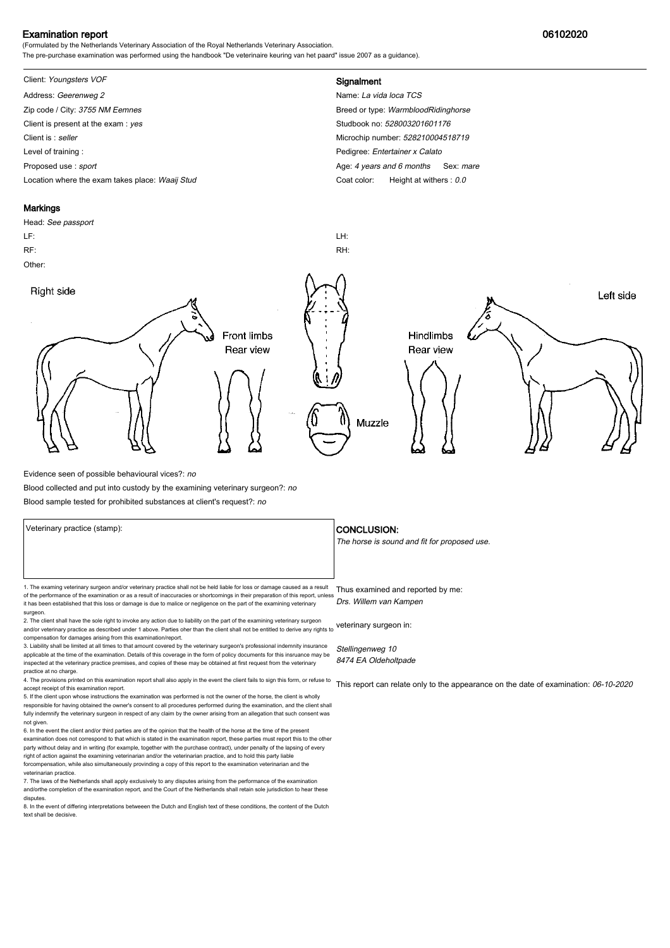### Examination report 06102020

(Formulated by the Netherlands Veterinary Association of the Royal Netherlands Veterinary Association. The pre-purchase examination was performed using the handbook "De veterinaire keuring van het paard" issue 2007 as a guidance).

# Client: Youngsters VOF **Signalment**

Address: Geerenweg 2 Name: La vida loca TCS Zip code / City: 3755 NM Eemnes Breed or type: WarmbloodRidinghorse Breed or type: WarmbloodRidinghorse Client is present at the exam : yes Studbook no: 528003201601176 Client is : seller Microchip number: 528210004518719 Level of training : **Pedigree:** Entertainer x Calato Proposed use : sport **Age: 4** years and 6 months Sex: mare Location where the exam takes place: Waaij Stud Coat Color: Height at withers : 0.0

# **Markings**

surgeon.

# Head: See passport LF: LH: RF: RH: Other: Right side Left side **Front limbs** Hindlimbs Rear view Rear view Muzzle

Evidence seen of possible behavioural vices?: no

Blood collected and put into custody by the examining veterinary surgeon?: no

Blood sample tested for prohibited substances at client's request?: no

1. The examing veterinary surgeon and/or veterinary practice shall not be held liable for loss or damage caused as a result Thus examined and reported by me: of the performance of the examination or as a result of inaccuracies or shortcomings in their preparation of this report, unless it has been established that this loss or damage is due to malice or negligence on the part of the examining veterinary

2. The client shall have the sole right to invoke any action due to liability on the part of the examining veterinary surgeon and/or veterinary practice as described under 1 above. Parties oher than the client shall not be entitled to derive any rights to veterinary surgeon in: compensation for damages arising from this examination/report.

3. Liability shall be limited at all times to that amount covered by the veterinary surgeon's professional indemnity insurance applicable at the time of the examination. Details of this coverage in the form of policy documents for this insruance may be inspected at the veterinary practice premises, and copies of these may be obtained at first request from the veterinary practice at no charge.

4. The provisions printed on this examination report shall also apply in the event the client fails to sign this form, or refuse to accept receipt of this examination report.

5. If the client upon whose instructions the examination was performed is not the owner of the horse, the client is wholly responsible for having obtained the owner's consent to all procedures performed during the examination, and the client shall fully indemnify the veterinary surgeon in respect of any claim by the owner arising from an allegation that such consent was not given.

6. In the event the client and/or third parties are of the opinion that the health of the horse at the time of the present examination does not correspond to that which is stated in the examination report, these parties must report this to the other party without delay and in writing (for example, together with the purchase contract), under penalty of the lapsing of every<br>right of action against the examining veterinarian and/or the veterinarian practice, and to hold forcompensation, while also simultaneously provinding a copy of this report to the examination veterinarian and th veterinarian practice.

7. The laws of the Netherlands shall apply exclusively to any disputes arising from the performance of the examination and/orthe completion of the examination report, and the Court of the Netherlands shall retain sole jurisdiction to hear these disputes.

8. In the event of differing interpretations betweeen the Dutch and English text of these conditions, the content of the Dutch text shall be decisive.

#### Veterinary practice (stamp):  $\overline{\phantom{a}}$  CONCLUSION:

The horse is sound and fit for proposed use.

Drs. Willem van Kampen

Stellingenweg 10 8474 EA Oldeholtpade

This report can relate only to the appearance on the date of examination: 06-10-2020